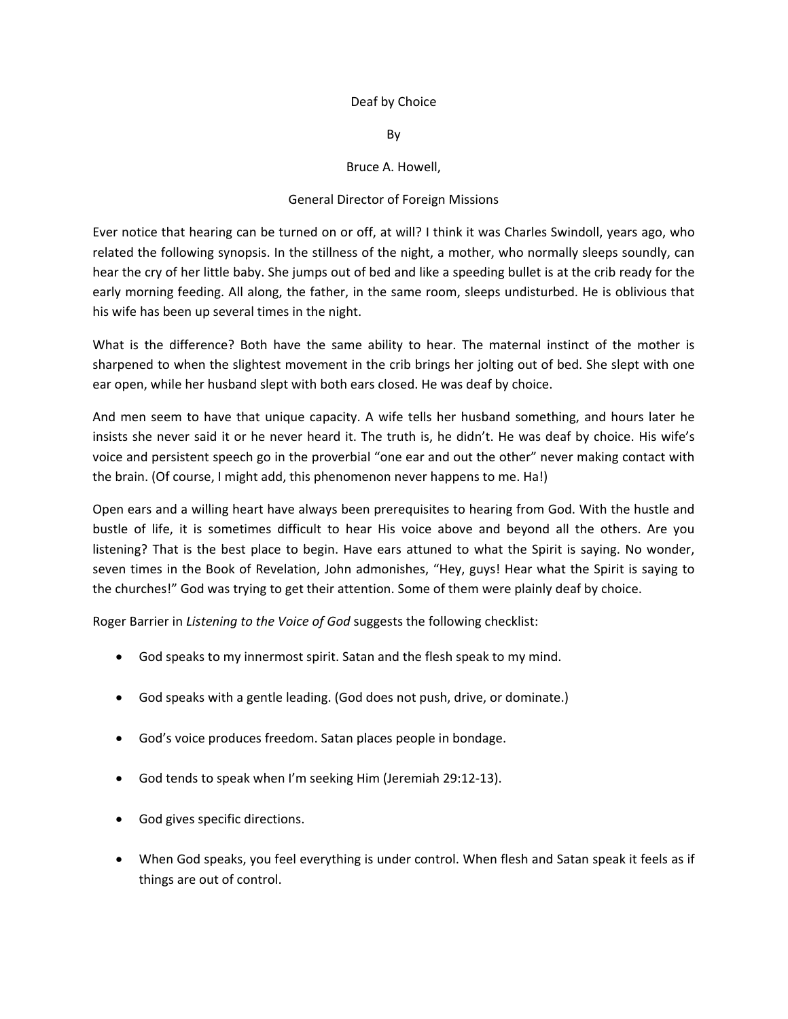## Deaf by Choice

By

## Bruce A. Howell,

## General Director of Foreign Missions

Ever notice that hearing can be turned on or off, at will? I think it was Charles Swindoll, years ago, who related the following synopsis. In the stillness of the night, a mother, who normally sleeps soundly, can hear the cry of her little baby. She jumps out of bed and like a speeding bullet is at the crib ready for the early morning feeding. All along, the father, in the same room, sleeps undisturbed. He is oblivious that his wife has been up several times in the night.

What is the difference? Both have the same ability to hear. The maternal instinct of the mother is sharpened to when the slightest movement in the crib brings her jolting out of bed. She slept with one ear open, while her husband slept with both ears closed. He was deaf by choice.

And men seem to have that unique capacity. A wife tells her husband something, and hours later he insists she never said it or he never heard it. The truth is, he didn't. He was deaf by choice. His wife's voice and persistent speech go in the proverbial "one ear and out the other" never making contact with the brain. (Of course, I might add, this phenomenon never happens to me. Ha!)

Open ears and a willing heart have always been prerequisites to hearing from God. With the hustle and bustle of life, it is sometimes difficult to hear His voice above and beyond all the others. Are you listening? That is the best place to begin. Have ears attuned to what the Spirit is saying. No wonder, seven times in the Book of Revelation, John admonishes, "Hey, guys! Hear what the Spirit is saying to the churches!" God was trying to get their attention. Some of them were plainly deaf by choice.

Roger Barrier in *Listening to the Voice of God* suggests the following checklist:

- God speaks to my innermost spirit. Satan and the flesh speak to my mind.
- God speaks with a gentle leading. (God does not push, drive, or dominate.)
- God's voice produces freedom. Satan places people in bondage.
- God tends to speak when I'm seeking Him (Jeremiah 29:12‐13).
- God gives specific directions.
- When God speaks, you feel everything is under control. When flesh and Satan speak it feels as if things are out of control.